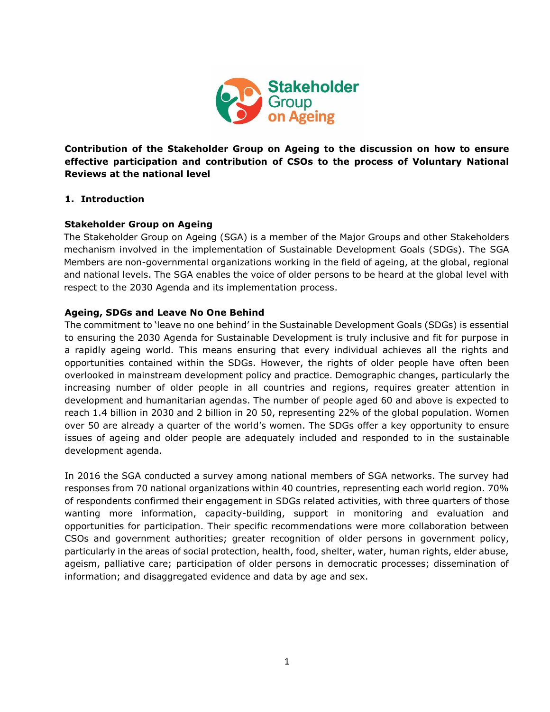

**Contribution of the Stakeholder Group on Ageing to the discussion on how to ensure effective participation and contribution of CSOs to the process of Voluntary National Reviews at the national level** 

### **1. Introduction**

### **Stakeholder Group on Ageing**

The Stakeholder Group on Ageing (SGA) is a member of the Major Groups and other Stakeholders mechanism involved in the implementation of Sustainable Development Goals (SDGs). The SGA Members are non-governmental organizations working in the field of ageing, at the global, regional and national levels. The SGA enables the voice of older persons to be heard at the global level with respect to the 2030 Agenda and its implementation process.

### **Ageing, SDGs and Leave No One Behind**

The commitment to 'leave no one behind' in the Sustainable Development Goals (SDGs) is essential to ensuring the 2030 Agenda for Sustainable Development is truly inclusive and fit for purpose in a rapidly ageing world. This means ensuring that every individual achieves all the rights and opportunities contained within the SDGs. However, the rights of older people have often been overlooked in mainstream development policy and practice. Demographic changes, particularly the increasing number of older people in all countries and regions, requires greater attention in development and humanitarian agendas. The number of people aged 60 and above is expected to reach 1.4 billion in 2030 and 2 billion in 20 50, representing 22% of the global population. Women over 50 are already a quarter of the world's women. The SDGs offer a key opportunity to ensure issues of ageing and older people are adequately included and responded to in the sustainable development agenda.

In 2016 the SGA conducted a survey among national members of SGA networks. The survey had responses from 70 national organizations within 40 countries, representing each world region. 70% of respondents confirmed their engagement in SDGs related activities, with three quarters of those wanting more information, capacity-building, support in monitoring and evaluation and opportunities for participation. Their specific recommendations were more collaboration between CSOs and government authorities; greater recognition of older persons in government policy, particularly in the areas of social protection, health, food, shelter, water, human rights, elder abuse, ageism, palliative care; participation of older persons in democratic processes; dissemination of information; and disaggregated evidence and data by age and sex.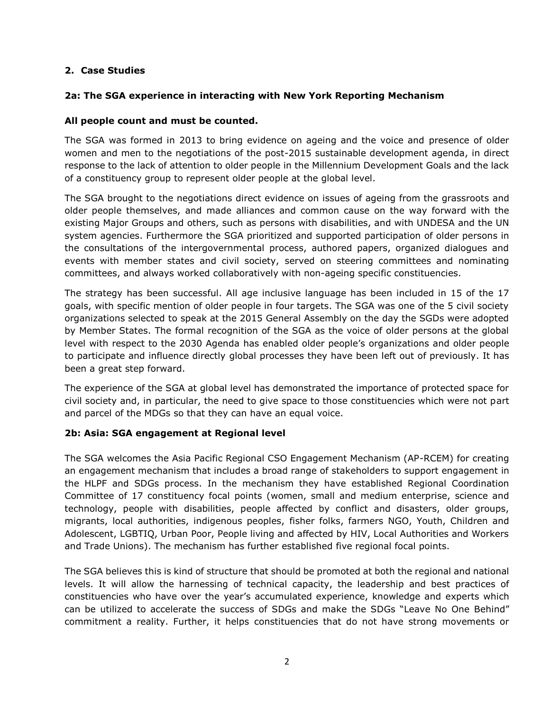## **2. Case Studies**

## **2a: The SGA experience in interacting with New York Reporting Mechanism**

### **All people count and must be counted.**

The SGA was formed in 2013 to bring evidence on ageing and the voice and presence of older women and men to the negotiations of the post-2015 sustainable development agenda, in direct response to the lack of attention to older people in the Millennium Development Goals and the lack of a constituency group to represent older people at the global level.

The SGA brought to the negotiations direct evidence on issues of ageing from the grassroots and older people themselves, and made alliances and common cause on the way forward with the existing Major Groups and others, such as persons with disabilities, and with UNDESA and the UN system agencies. Furthermore the SGA prioritized and supported participation of older persons in the consultations of the intergovernmental process, authored papers, organized dialogues and events with member states and civil society, served on steering committees and nominating committees, and always worked collaboratively with non-ageing specific constituencies.

The strategy has been successful. All age inclusive language has been included in 15 of the 17 goals, with specific mention of older people in four targets. The SGA was one of the 5 civil society organizations selected to speak at the 2015 General Assembly on the day the SGDs were adopted by Member States. The formal recognition of the SGA as the voice of older persons at the global level with respect to the 2030 Agenda has enabled older people's organizations and older people to participate and influence directly global processes they have been left out of previously. It has been a great step forward.

The experience of the SGA at global level has demonstrated the importance of protected space for civil society and, in particular, the need to give space to those constituencies which were not part and parcel of the MDGs so that they can have an equal voice.

### **2b: Asia: SGA engagement at Regional level**

The SGA welcomes the Asia Pacific Regional CSO Engagement Mechanism (AP-RCEM) for creating an engagement mechanism that includes a broad range of stakeholders to support engagement in the HLPF and SDGs process. In the mechanism they have established Regional Coordination Committee of 17 constituency focal points (women, small and medium enterprise, science and technology, people with disabilities, people affected by conflict and disasters, older groups, migrants, local authorities, indigenous peoples, fisher folks, farmers NGO, Youth, Children and Adolescent, LGBTIQ, Urban Poor, People living and affected by HIV, Local Authorities and Workers and Trade Unions). The mechanism has further established five regional focal points.

The SGA believes this is kind of structure that should be promoted at both the regional and national levels. It will allow the harnessing of technical capacity, the leadership and best practices of constituencies who have over the year's accumulated experience, knowledge and experts which can be utilized to accelerate the success of SDGs and make the SDGs "Leave No One Behind" commitment a reality. Further, it helps constituencies that do not have strong movements or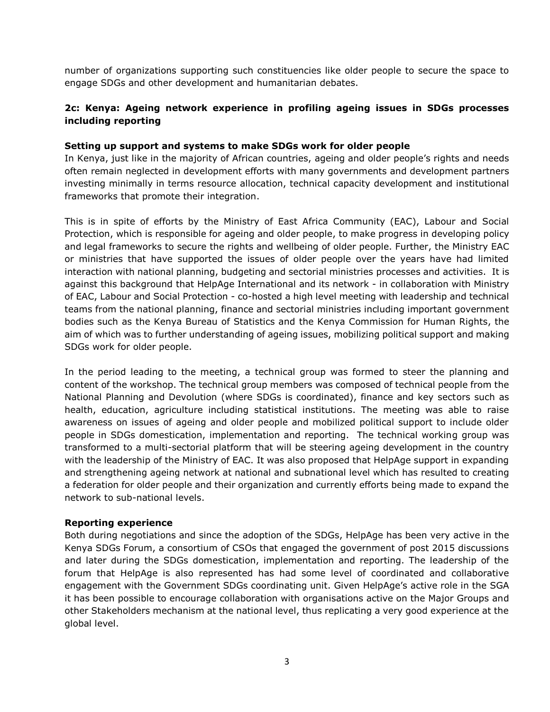number of organizations supporting such constituencies like older people to secure the space to engage SDGs and other development and humanitarian debates.

## **2c: Kenya: Ageing network experience in profiling ageing issues in SDGs processes including reporting**

### **Setting up support and systems to make SDGs work for older people**

In Kenya, just like in the majority of African countries, ageing and older people's rights and needs often remain neglected in development efforts with many governments and development partners investing minimally in terms resource allocation, technical capacity development and institutional frameworks that promote their integration.

This is in spite of efforts by the Ministry of East Africa Community (EAC), Labour and Social Protection, which is responsible for ageing and older people, to make progress in developing policy and legal frameworks to secure the rights and wellbeing of older people. Further, the Ministry EAC or ministries that have supported the issues of older people over the years have had limited interaction with national planning, budgeting and sectorial ministries processes and activities. It is against this background that HelpAge International and its network - in collaboration with Ministry of EAC, Labour and Social Protection - co-hosted a high level meeting with leadership and technical teams from the national planning, finance and sectorial ministries including important government bodies such as the Kenya Bureau of Statistics and the Kenya Commission for Human Rights, the aim of which was to further understanding of ageing issues, mobilizing political support and making SDGs work for older people.

In the period leading to the meeting, a technical group was formed to steer the planning and content of the workshop. The technical group members was composed of technical people from the National Planning and Devolution (where SDGs is coordinated), finance and key sectors such as health, education, agriculture including statistical institutions. The meeting was able to raise awareness on issues of ageing and older people and mobilized political support to include older people in SDGs domestication, implementation and reporting. The technical working group was transformed to a multi-sectorial platform that will be steering ageing development in the country with the leadership of the Ministry of EAC. It was also proposed that HelpAge support in expanding and strengthening ageing network at national and subnational level which has resulted to creating a federation for older people and their organization and currently efforts being made to expand the network to sub-national levels.

### **Reporting experience**

Both during negotiations and since the adoption of the SDGs, HelpAge has been very active in the Kenya SDGs Forum, a consortium of CSOs that engaged the government of post 2015 discussions and later during the SDGs domestication, implementation and reporting. The leadership of the forum that HelpAge is also represented has had some level of coordinated and collaborative engagement with the Government SDGs coordinating unit. Given HelpAge's active role in the SGA it has been possible to encourage collaboration with organisations active on the Major Groups and other Stakeholders mechanism at the national level, thus replicating a very good experience at the global level.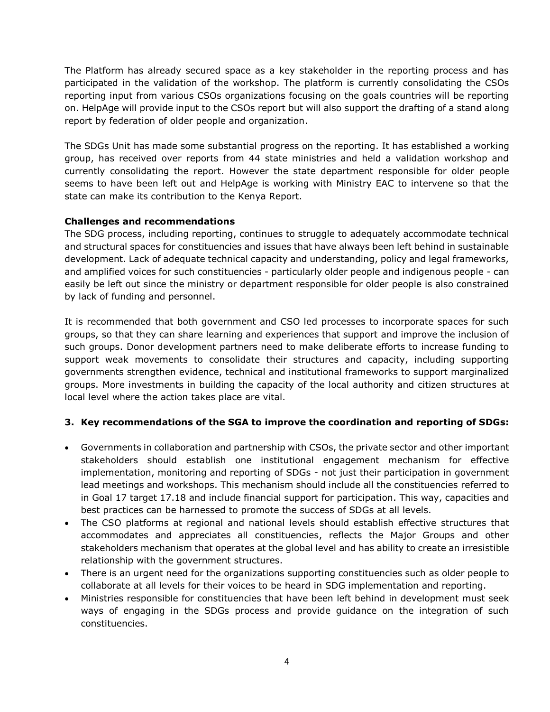The Platform has already secured space as a key stakeholder in the reporting process and has participated in the validation of the workshop. The platform is currently consolidating the CSOs reporting input from various CSOs organizations focusing on the goals countries will be reporting on. HelpAge will provide input to the CSOs report but will also support the drafting of a stand along report by federation of older people and organization.

The SDGs Unit has made some substantial progress on the reporting. It has established a working group, has received over reports from 44 state ministries and held a validation workshop and currently consolidating the report. However the state department responsible for older people seems to have been left out and HelpAge is working with Ministry EAC to intervene so that the state can make its contribution to the Kenya Report.

## **Challenges and recommendations**

The SDG process, including reporting, continues to struggle to adequately accommodate technical and structural spaces for constituencies and issues that have always been left behind in sustainable development. Lack of adequate technical capacity and understanding, policy and legal frameworks, and amplified voices for such constituencies - particularly older people and indigenous people - can easily be left out since the ministry or department responsible for older people is also constrained by lack of funding and personnel.

It is recommended that both government and CSO led processes to incorporate spaces for such groups, so that they can share learning and experiences that support and improve the inclusion of such groups. Donor development partners need to make deliberate efforts to increase funding to support weak movements to consolidate their structures and capacity, including supporting governments strengthen evidence, technical and institutional frameworks to support marginalized groups. More investments in building the capacity of the local authority and citizen structures at local level where the action takes place are vital.

# **3. Key recommendations of the SGA to improve the coordination and reporting of SDGs:**

- Governments in collaboration and partnership with CSOs, the private sector and other important stakeholders should establish one institutional engagement mechanism for effective implementation, monitoring and reporting of SDGs - not just their participation in government lead meetings and workshops. This mechanism should include all the constituencies referred to in Goal 17 target 17.18 and include financial support for participation. This way, capacities and best practices can be harnessed to promote the success of SDGs at all levels.
- The CSO platforms at regional and national levels should establish effective structures that accommodates and appreciates all constituencies, reflects the Major Groups and other stakeholders mechanism that operates at the global level and has ability to create an irresistible relationship with the government structures.
- There is an urgent need for the organizations supporting constituencies such as older people to collaborate at all levels for their voices to be heard in SDG implementation and reporting.
- Ministries responsible for constituencies that have been left behind in development must seek ways of engaging in the SDGs process and provide guidance on the integration of such constituencies.